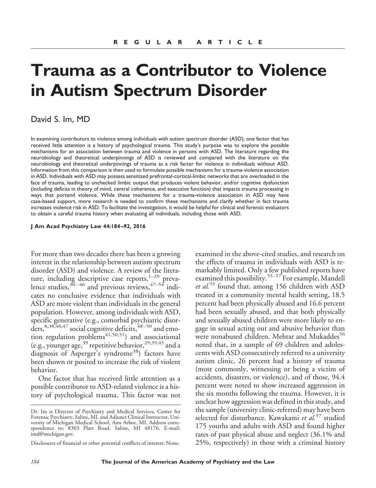# **Trauma as a Contributor to Violence in Autism Spectrum Disorder**

## David S. Im, MD

In examining contributors to violence among individuals with autism spectrum disorder (ASD), one factor that has received little attention is a history of psychological trauma. This study's purpose was to explore the possible mechanisms for an association between trauma and violence in persons with ASD. The literature regarding the neurobiology and theoretical underpinnings of ASD is reviewed and compared with the literature on the neurobiology and theoretical underpinnings of trauma as a risk factor for violence in individuals without ASD. Information from this comparison is then used to formulate possible mechanisms for a trauma-violence association in ASD. Individuals with ASD may possess sensitized prefrontal-cortical-limbic networks that are overloaded in the face of trauma, leading to unchecked limbic output that produces violent behavior, and/or cognitive dysfunction (including deficits in theory of mind, central coherence, and executive function) that impacts trauma processing in ways that portend violence. While these mechanisms for a trauma-violence association in ASD may have case-based support, more research is needed to confirm these mechanisms and clarify whether in fact trauma increases violence risk in ASD. To facilitate the investigation, it would be helpful for clinical and forensic evaluators to obtain a careful trauma history when evaluating all individuals, including those with ASD.

#### **J Am Acad Psychiatry Law 44:184 –92, 2016**

For more than two decades there has been a growing interest in the relationship between autism spectrum disorder (ASD) and violence. A review of the literature, including descriptive case reports, $1-29$  prevalence studies, $30-46$  and previous reviews, $47-54$  indicates no conclusive evidence that individuals with ASD are more violent than individuals in the general population. However, among individuals with ASD, specific generative (e.g., comorbid psychiatric disorders,  $8,38,40,47$  social cognitive deficits,  $48-50$  and emotion regulation problems<sup>41,50,51</sup>) and associational (e.g., younger age,  $39$  repetitive behavior,  $29,39,45$  and a diagnosis of Asperger's syndrome<sup>38</sup>) factors have been shown or posited to increase the risk of violent behavior.

One factor that has received little attention as a possible contributor to ASD-related violence is a history of psychological trauma. This factor was not

examined in the above-cited studies, and research on the effects of trauma in individuals with ASD is remarkably limited. Only a few published reports have examined this possibility.<sup>55–57</sup> For example, Mandell *et al.*<sup>55</sup> found that, among 156 children with ASD treated in a community mental health setting, 18.5 percent had been physically abused and 16.6 percent had been sexually abused, and that both physically and sexually abused children were more likely to engage in sexual acting out and abusive behavior than were nonabused children. Mehtar and Mukaddes<sup>56</sup> noted that, in a sample of 69 children and adolescents with ASD consecutively referred to a university autism clinic, 26 percent had a history of trauma (most commonly, witnessing or being a victim of accidents, disasters, or violence), and of those, 94.4 percent were noted to show increased aggression in the six months following the trauma. However, it is unclear how aggression was defined in this study, and the sample (university clinic-referred) may have been selected for disturbance. Kawakami *et al.*<sup>57</sup> studied 175 youths and adults with ASD and found higher rates of past physical abuse and neglect (36.1% and 25%, respectively) in those with a criminal history

Dr. Im is Director of Psychiatry and Medical Services, Center for Forensic Psychiatry, Saline, MI, and Adjunct Clinical Instructor, University of Michigan Medical School, Ann Arbor, MI. Address correspondence to: 8303 Platt Road, Saline, MI 48176. E-mail: imd@michigan.gov.

Disclosures of financial or other potential conflicts of interest: None.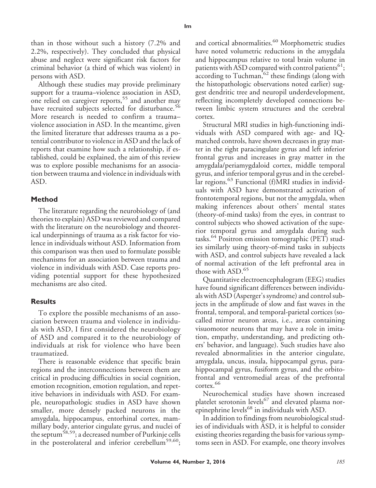than in those without such a history (7.2% and 2.2%, respectively). They concluded that physical abuse and neglect were significant risk factors for criminal behavior (a third of which was violent) in persons with ASD.

Although these studies may provide preliminary support for a trauma–violence association in ASD, one relied on caregiver reports,<sup>55</sup> and another may have recruited subjects selected for disturbance.<sup>56</sup> More research is needed to confirm a trauma– violence association in ASD. In the meantime, given the limited literature that addresses trauma as a potential contributor to violence in ASD and the lack of reports that examine how such a relationship, if established, could be explained, the aim of this review was to explore possible mechanisms for an association between trauma and violence in individuals with ASD.

## **Method**

The literature regarding the neurobiology of (and theories to explain) ASD was reviewed and compared with the literature on the neurobiology and theoretical underpinnings of trauma as a risk factor for violence in individuals without ASD. Information from this comparison was then used to formulate possible mechanisms for an association between trauma and violence in individuals with ASD. Case reports providing potential support for these hypothesized mechanisms are also cited.

#### **Results**

To explore the possible mechanisms of an association between trauma and violence in individuals with ASD, I first considered the neurobiology of ASD and compared it to the neurobiology of individuals at risk for violence who have been traumatized.

There is reasonable evidence that specific brain regions and the interconnections between them are critical in producing difficulties in social cognition, emotion recognition, emotion regulation, and repetitive behaviors in individuals with ASD. For example, neuropathologic studies in ASD have shown smaller, more densely packed neurons in the amygdala, hippocampus, entorhinal cortex, mammillary body, anterior cingulate gyrus, and nuclei of the septum<sup>58,59</sup>; a decreased number of Purkinje cells in the posterolateral and inferior cerebellum<sup>59,60</sup>;

and cortical abnormalities.<sup>60</sup> Morphometric studies have noted volumetric reductions in the amygdala and hippocampus relative to total brain volume in patients with ASD compared with control patients<sup>61</sup>;  $\arccot\$ ing to Tuchman,  $62$  these findings (along with the histopathologic observations noted earlier) suggest dendritic tree and neuropil underdevelopment, reflecting incompletely developed connections between limbic system structures and the cerebral cortex.

Structural MRI studies in high-functioning individuals with ASD compared with age- and IQmatched controls, have shown decreases in gray matter in the right paracingulate gyrus and left inferior frontal gyrus and increases in gray matter in the amygdala/periamygdaloid cortex, middle temporal gyrus, and inferior temporal gyrus and in the cerebellar regions.<sup>63</sup> Functional (f)MRI studies in individuals with ASD have demonstrated activation of frontotemporal regions, but not the amygdala, when making inferences about others' mental states (theory-of-mind tasks) from the eyes, in contrast to control subjects who showed activation of the superior temporal gyrus and amygdala during such tasks.<sup>64</sup> Positron emission tomographic (PET) studies similarly using theory-of-mind tasks in subjects with ASD, and control subjects have revealed a lack of normal activation of the left prefrontal area in those with ASD.<sup>65</sup>

Quantitative electroencephalogram (EEG) studies have found significant differences between individuals with ASD (Asperger's syndrome) and control subjects in the amplitude of slow and fast waves in the frontal, temporal, and temporal-parietal cortices (socalled mirror neuron areas, i.e., areas containing visuomotor neurons that may have a role in imitation, empathy, understanding, and predicting others' behavior, and language). Such studies have also revealed abnormalities in the anterior cingulate, amygdala, uncus, insula, hippocampal gyrus, parahippocampal gyrus, fusiform gyrus, and the orbitofrontal and ventromedial areas of the prefrontal cortex.<sup>66</sup>

Neurochemical studies have shown increased platelet serotonin levels<sup>67</sup> and elevated plasma norepinephrine levels<sup>68</sup> in individuals with ASD.

In addition to findings from neurobiological studies of individuals with ASD, it is helpful to consider existing theories regarding the basis for various symptoms seen in ASD. For example, one theory involves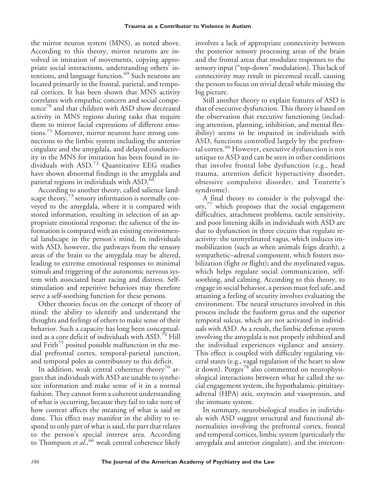the mirror neuron system (MNS), as noted above. According to this theory, mirror neurons are involved in imitation of movements, copying appropriate social interactions, understanding others' intentions, and language function.<sup>69</sup> Such neurons are located primarily in the frontal, parietal, and temporal cortices. It has been shown that MNS activity correlates with empathic concern and social competence<sup>70</sup> and that children with ASD show decreased activity in MNS regions during tasks that require them to mirror facial expressions of different emotions.<sup>71</sup> Moreover, mirror neurons have strong connections to the limbic system including the anterior cingulate and the amygdala, and delayed conductivity in the MNS for imitation has been found in individuals with ASD.<sup>72</sup> Quantitative EEG studies have shown abnormal findings in the amygdala and parietal regions in individuals with ASD.<sup>66</sup>

According to another theory, called salience landscape theory,<sup>73</sup> sensory information is normally conveyed to the amygdala, where it is compared with stored information, resulting in selection of an appropriate emotional response; the salience of the information is compared with an existing environmental landscape in the person's mind. In individuals with ASD, however, the pathways from the sensory areas of the brain to the amygdala may be altered, leading to extreme emotional responses to minimal stimuli and triggering of the autonomic nervous system with associated heart racing and distress. Selfstimulation and repetitive behaviors may therefore serve a self-soothing function for these persons.

Other theories focus on the concept of theory of mind: the ability to identify and understand the thoughts and feelings of others to make sense of their behavior. Such a capacity has long been conceptualized as a core deficit of individuals with ASD.<sup>74</sup> Hill and Frith<sup>75</sup> posited possible malfunction in the medial prefrontal cortex, temporal-parietal junction, and temporal poles as contributory to this deficit.

In addition, weak central coherence theory<sup>76</sup> argues that individuals with ASD are unable to synthesize information and make sense of it in a normal fashion. They cannot form a coherent understanding of what is occurring, because they fail to take note of how context affects the meaning of what is said or done. This effect may manifest in the ability to respond to only part of what is said, the part that relates to the person's special interest area. According to Thompson *et al.*, <sup>66</sup> weak central coherence likely

involves a lack of appropriate connectivity between the posterior sensory processing areas of the brain and the frontal areas that modulate responses to the sensory input ("top-down" modulation). This lack of connectivity may result in piecemeal recall, causing the person to focus on trivial detail while missing the big picture.

Still another theory to explain features of ASD is that of executive dysfunction. This theory is based on the observation that executive functioning (including attention, planning, inhibition, and mental flexibility) seems to be impaired in individuals with ASD, functions controlled largely by the prefrontal cortex.<sup>66</sup> However, executive dysfunction is not unique to ASD and can be seen in other conditions that involve frontal lobe dysfunction (e.g., head trauma, attention deficit hyperactivity disorder, obsessive compulsive disorder, and Tourette's syndrome).

A final theory to consider is the polyvagal the- $\alpha$  ory, $\alpha$  which proposes that the social engagement difficulties, attachment problems, tactile sensitivity, and poor listening skills in individuals with ASD are due to dysfunction in three circuits that regulate reactivity: the unmyelinated vagus, which induces immobilization (such as when animals feign death); a sympathetic–adrenal component, which fosters mobilization (fight or flight); and the myelinated vagus, which helps regulate social communication, selfsoothing, and calming. According to this theory, to engage in social behavior, a person must feel safe, and attaining a feeling of security involves evaluating the environment. The neural structures involved in this process include the fusiform gyrus and the superior temporal sulcus, which are not activated in individuals with ASD. As a result, the limbic defense system involving the amygdala is not properly inhibited and the individual experiences vigilance and anxiety. This effect is coupled with difficulty regulating visceral states (e.g., vagal regulation of the heart to slow it down). Porges<sup>78</sup> also commented on neurophysiological interactions between what he called the social engagement system, the hypothalamic-pituitaryadrenal (HPA) axis, oxytocin and vasopressin, and the immune system.

In summary, neurobiological studies in individuals with ASD suggest structural and functional abnormalities involving the prefrontal cortex, frontal and temporal cortices, limbic system (particularly the amygdala and anterior cingulate), and the intercon-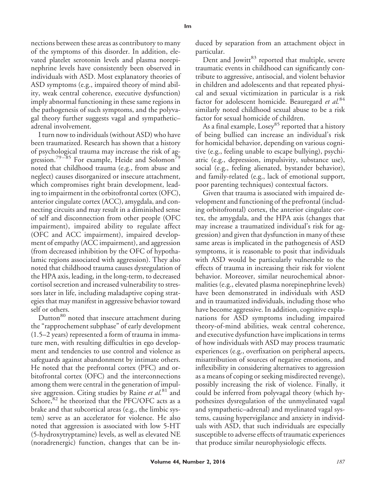nections between these areas as contributory to many of the symptoms of this disorder. In addition, elevated platelet serotonin levels and plasma norepinephrine levels have consistently been observed in individuals with ASD. Most explanatory theories of ASD symptoms (e.g., impaired theory of mind ability, weak central coherence, executive dysfunction) imply abnormal functioning in these same regions in the pathogenesis of such symptoms, and the polyvagal theory further suggests vagal and sympathetic– adrenal involvement.

I turn now to individuals (without ASD) who have been traumatized. Research has shown that a history of psychological trauma may increase the risk of aggression.<sup>79–85</sup> For example, Heide and Solomon<sup>79</sup> noted that childhood trauma (e.g., from abuse and neglect) causes disorganized or insecure attachment, which compromises right brain development, leading to impairment in the orbitofrontal cortex (OFC), anterior cingulate cortex (ACC), amygdala, and connecting circuits and may result in a diminished sense of self and disconnection from other people (OFC impairment), impaired ability to regulate affect (OFC and ACC impairment), impaired development of empathy (ACC impairment), and aggression (from decreased inhibition by the OFC of hypothalamic regions associated with aggression). They also noted that childhood trauma causes dysregulation of the HPA axis, leading, in the long-term, to decreased cortisol secretion and increased vulnerability to stressors later in life, including maladaptive coping strategies that may manifest in aggressive behavior toward self or others.

Dutton<sup>80</sup> noted that insecure attachment during the "rapprochement subphase" of early development (1.5–2 years) represented a form of trauma in immature men, with resulting difficulties in ego development and tendencies to use control and violence as safeguards against abandonment by intimate others. He noted that the prefrontal cortex (PFC) and orbitofrontal cortex (OFC) and the interconnections among them were central in the generation of impulsive aggression. Citing studies by Raine *et al.*<sup>81</sup> and Schore, $82$  he theorized that the PFC/OFC acts as a brake and that subcortical areas (e.g., the limbic system) serve as an accelerator for violence. He also noted that aggression is associated with low 5-HT (5-hydroxytryptamine) levels, as well as elevated NE (noradrenergic) function, changes that can be induced by separation from an attachment object in particular.

Dent and Jowitt<sup>83</sup> reported that multiple, severe traumatic events in childhood can significantly contribute to aggressive, antisocial, and violent behavior in children and adolescents and that repeated physical and sexual victimization in particular is a risk factor for adolescent homicide. Beauregard *et al.*<sup>84</sup> similarly noted childhood sexual abuse to be a risk factor for sexual homicide of children.

As a final example, Losey<sup>85</sup> reported that a history of being bullied can increase an individual's risk for homicidal behavior, depending on various cognitive (e.g., feeling unable to escape bullying), psychiatric (e.g., depression, impulsivity, substance use), social (e.g., feeling alienated, bystander behavior), and family-related (e.g., lack of emotional support, poor parenting techniques) contextual factors.

Given that trauma is associated with impaired development and functioning of the prefrontal (including orbitofrontal) cortex, the anterior cingulate cortex, the amygdala, and the HPA axis (changes that may increase a traumatized individual's risk for aggression) and given that dysfunction in many of these same areas is implicated in the pathogenesis of ASD symptoms, it is reasonable to posit that individuals with ASD would be particularly vulnerable to the effects of trauma in increasing their risk for violent behavior. Moreover, similar neurochemical abnormalities (e.g., elevated plasma norepinephrine levels) have been demonstrated in individuals with ASD and in traumatized individuals, including those who have become aggressive. In addition, cognitive explanations for ASD symptoms including impaired theory-of-mind abilities, weak central coherence, and executive dysfunction have implications in terms of how individuals with ASD may process traumatic experiences (e.g., overfixation on peripheral aspects, misattribution of sources of negative emotions, and inflexibility in considering alternatives to aggression as a means of coping or seeking misdirected revenge), possibly increasing the risk of violence. Finally, it could be inferred from polyvagal theory (which hypothesizes dysregulation of the unmyelinated vagal and sympathetic–adrenal) and myelinated vagal systems, causing hypervigilance and anxiety in individuals with ASD, that such individuals are especially susceptible to adverse effects of traumatic experiences that produce similar neurophysiologic effects.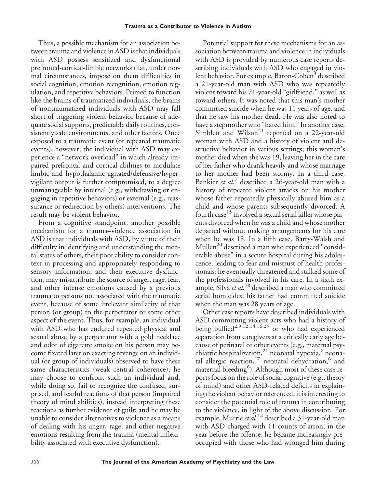Thus, a possible mechanism for an association between trauma and violence in ASD is that individuals with ASD possess sensitized and dysfunctional prefrontal-cortical-limbic networks that, under normal circumstances, impose on them difficulties in social cognition, emotion recognition, emotion regulation, and repetitive behaviors. Primed to function like the brains of traumatized individuals, the brains of nontraumatized individuals with ASD may fall short of triggering violent behavior because of adequate social supports, predictable daily routines, consistently safe environments, and other factors. Once exposed to a traumatic event (or repeated traumatic events), however, the individual with ASD may experience a "network overload" in which already impaired prefrontal and cortical abilities to modulate limbic and hypothalamic agitated/defensive/hypervigilant output is further compromised, to a degree unmanageable by internal (e.g., withdrawing or engaging in repetitive behaviors) or external (e.g., reassurance or redirection by others) interventions. The result may be violent behavior.

From a cognitive standpoint, another possible mechanism for a trauma–violence association in ASD is that individuals with ASD, by virtue of their difficulty in identifying and understanding the mental states of others, their poor ability to consider context in processing and appropriately responding to sensory information, and their executive dysfunction, may misattribute the source of anger, rage, fear, and other intense emotions caused by a previous trauma to persons not associated with the traumatic event, because of some irrelevant similarity of that person (or group) to the perpetrator or some other aspect of the event. Thus, for example, an individual with ASD who has endured repeated physical and sexual abuse by a perpetrator with a gold necklace and odor of cigarette smoke on his person may become fixated later on exacting revenge on an individual (or group of individuals) observed to have these same characteristics (weak central coherence); he may choose to confront such an individual and, while doing so, fail to recognize the confused, surprised, and fearful reactions of that person (impaired theory of mind abilities), instead interpreting these reactions as further evidence of guilt; and he may be unable to consider alternatives to violence as a means of dealing with his anger, rage, and other negative emotions resulting from the trauma (mental inflexibility associated with executive dysfunction).

Potential support for these mechanisms for an association between trauma and violence in individuals with ASD is provided by numerous case reports describing individuals with ASD who engaged in violent behavior. For example, Baron-Cohen<sup>3</sup> described a 21-year-old man with ASD who was repeatedly violent toward his 71-year-old "girlfriend," as well as toward others. It was noted that this man's mother committed suicide when he was 11 years of age, and that he saw his mother dead. He was also noted to have a stepmother who "hated him." In another case, Simblett and Wilson<sup>21</sup> reported on a 22-year-old woman with ASD and a history of violent and destructive behavior in various settings; this woman's mother died when she was 19, leaving her in the care of her father who drank heavily and whose marriage to her mother had been stormy. In a third case, Bankier *et al.*<sup>7</sup> described a 26-year-old man with a history of repeated violent attacks on his mother whose father repeatedly physically abused him as a child and whose parents subsequently divorced. A fourth case<sup>15</sup> involved a sexual serial killer whose parents divorced when he was a child and whose mother departed without making arrangements for his care when he was 18. In a fifth case, Barry-Walsh and Mullen<sup>20</sup> described a man who experienced "considerable abuse" in a secure hospital during his adolescence, leading to fear and mistrust of health professionals; he eventually threatened and stalked some of the professionals involved in his care. In a sixth example, Silva *et al.*<sup>18</sup> described a man who committed serial homicides; his father had committed suicide when the man was 28 years of age.

Other case reports have described individuals with ASD committing violent acts who had a history of being bullied<sup>2,9,12,14,16,25</sup> or who had experienced separation from caregivers at a critically early age because of perinatal or other events (e.g., maternal psychiatric hospitalization,<sup>21</sup> neonatal hypoxia, $^6$  neonatal allergic reaction,<sup>17</sup> neonatal dehydration,<sup>6</sup> and maternal bleeding<sup>6</sup>). Although most of these case reports focus on the role of social cognitive (e.g., theory of mind) and other ASD-related deficits in explaining the violent behavior referenced, it is interesting to consider the potential role of trauma in contributing to the violence, in light of the above discussion. For example, Murrie*et al.*<sup>14</sup> described a 31-year-old man with ASD charged with 11 counts of arson; in the year before the offense, he became increasingly preoccupied with those who had wronged him during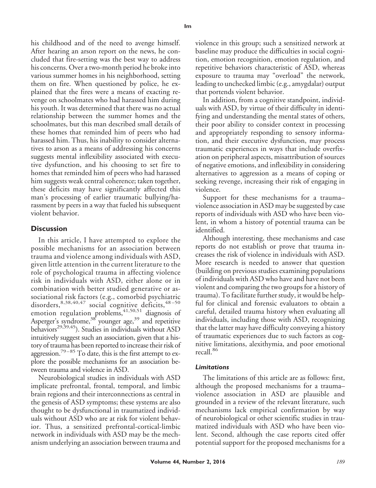his childhood and of the need to avenge himself. After hearing an arson report on the news, he concluded that fire-setting was the best way to address his concerns. Over a two-month period he broke into various summer homes in his neighborhood, setting them on fire. When questioned by police, he explained that the fires were a means of exacting revenge on schoolmates who had harassed him during his youth. It was determined that there was no actual relationship between the summer homes and the schoolmates, but this man described small details of these homes that reminded him of peers who had harassed him. Thus, his inability to consider alternatives to arson as a means of addressing his concerns suggests mental inflexibility associated with executive dysfunction, and his choosing to set fire to homes that reminded him of peers who had harassed him suggests weak central coherence; taken together, these deficits may have significantly affected this man's processing of earlier traumatic bullying/harassment by peers in a way that fueled his subsequent violent behavior.

## **Discussion**

In this article, I have attempted to explore the possible mechanisms for an association between trauma and violence among individuals with ASD, given little attention in the current literature to the role of psychological trauma in affecting violence risk in individuals with ASD, either alone or in combination with better studied generative or associational risk factors (e.g., comorbid psychiatric disorders,  $8,38,40,47$  social cognitive deficits,  $48-50$ emotion regulation problems, $41,50,51$  diagnosis of Asperger's syndrome,<sup>38</sup> younger age,<sup>39</sup> and repetitive behaviors<sup>29,39,45</sup>). Studies in individuals without ASD intuitively suggest such an association, given that a history of trauma has been reported to increase their risk of aggression.<sup>79–85</sup> To date, this is the first attempt to explore the possible mechanisms for an association between trauma and violence in ASD.

Neurobiological studies in individuals with ASD implicate prefrontal, frontal, temporal, and limbic brain regions and their interconnections as central in the genesis of ASD symptoms; these systems are also thought to be dysfunctional in traumatized individuals without ASD who are at risk for violent behavior. Thus, a sensitized prefrontal-cortical-limbic network in individuals with ASD may be the mechanism underlying an association between trauma and

violence in this group; such a sensitized network at baseline may produce the difficulties in social cognition, emotion recognition, emotion regulation, and repetitive behaviors characteristic of ASD, whereas exposure to trauma may "overload" the network, leading to unchecked limbic (e.g., amygdalar) output that portends violent behavior.

In addition, from a cognitive standpoint, individuals with ASD, by virtue of their difficulty in identifying and understanding the mental states of others, their poor ability to consider context in processing and appropriately responding to sensory information, and their executive dysfunction, may process traumatic experiences in ways that include overfixation on peripheral aspects, misattribution of sources of negative emotions, and inflexibility in considering alternatives to aggression as a means of coping or seeking revenge, increasing their risk of engaging in violence.

Support for these mechanisms for a trauma– violence association in ASD may be suggested by case reports of individuals with ASD who have been violent, in whom a history of potential trauma can be identified.

Although interesting, these mechanisms and case reports do not establish or prove that trauma increases the risk of violence in individuals with ASD. More research is needed to answer that question (building on previous studies examining populations of individuals with ASD who have and have not been violent and comparing the two groups for a history of trauma). To facilitate further study, it would be helpful for clinical and forensic evaluators to obtain a careful, detailed trauma history when evaluating all individuals, including those with ASD, recognizing that the latter may have difficulty conveying a history of traumatic experiences due to such factors as cognitive limitations, alexithymia, and poor emotional recall.<sup>86</sup>

#### *Limitations*

The limitations of this article are as follows: first, although the proposed mechanisms for a trauma– violence association in ASD are plausible and grounded in a review of the relevant literature, such mechanisms lack empirical confirmation by way of neurobiological or other scientific studies in traumatized individuals with ASD who have been violent. Second, although the case reports cited offer potential support for the proposed mechanisms for a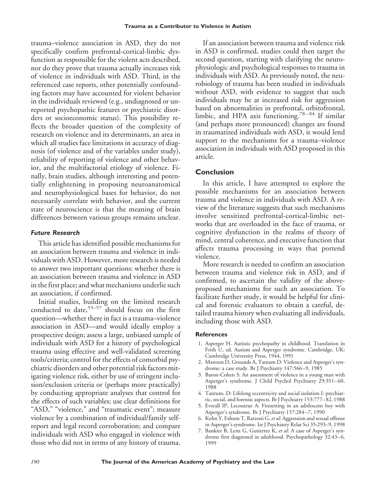trauma–violence association in ASD, they do not specifically confirm prefrontal-cortical-limbic dysfunction as responsible for the violent acts described, nor do they prove that trauma actually increases risk of violence in individuals with ASD. Third, in the referenced case reports, other potentially confounding factors may have accounted for violent behavior in the individuals reviewed (e.g., undiagnosed or unreported psychopathic features or psychiatric disorders or socioeconomic status). This possibility reflects the broader question of the complexity of research on violence and its determinants, an area in which all studies face limitations in accuracy of diagnosis (of violence and of the variables under study), reliability of reporting of violence and other behavior, and the multifactorial etiology of violence. Finally, brain studies, although interesting and potentially enlightening in proposing neuroanatomical and neurophysiological bases for behavior, do not necessarily correlate with behavior, and the current state of neuroscience is that the meaning of brain differences between various groups remains unclear.

#### *Future Research*

This article has identified possible mechanisms for an association between trauma and violence in individuals with ASD. However, more research is needed to answer two important questions: whether there is an association between trauma and violence in ASD in the first place; and what mechanisms underlie such an association, if confirmed.

Initial studies, building on the limited research conducted to date,  $55-57$  should focus on the first question—whether there in fact is a trauma–violence association in ASD—and would ideally employ a prospective design; assess a large, unbiased sample of individuals with ASD for a history of psychological trauma using effective and well-validated screening tools/criteria; control for the effects of comorbid psychiatric disorders and other potential risk factors mitigating violence risk, either by use of stringent inclusion/exclusion criteria or (perhaps more practically) by conducting appropriate analyses that control for the effects of such variables; use clear definitions for "ASD," "violence," and "traumatic event"; measure violence by a combination of individual/family selfreport and legal record corroboration; and compare individuals with ASD who engaged in violence with those who did not in terms of any history of trauma.

If an association between trauma and violence risk in ASD is confirmed, studies could then target the second question, starting with clarifying the neurophysiologic and psychological responses to trauma in individuals with ASD. As previously noted, the neurobiology of trauma has been studied in individuals without ASD, with evidence to suggest that such individuals may be at increased risk for aggression based on abnormalities in prefrontal, orbitofrontal, limbic, and HPA axis functioning.<sup>78-84</sup> If similar (and perhaps more pronounced) changes are found in traumatized individuals with ASD, it would lend support to the mechanisms for a trauma–violence association in individuals with ASD proposed in this article.

## **Conclusion**

In this article, I have attempted to explore the possible mechanisms for an association between trauma and violence in individuals with ASD. A review of the literature suggests that such mechanisms involve sensitized prefrontal-cortical-limbic networks that are overloaded in the face of trauma, or cognitive dysfunction in the realms of theory of mind, central coherence, and executive function that affects trauma processing in ways that portend violence.

More research is needed to confirm an association between trauma and violence risk in ASD, and if confirmed, to ascertain the validity of the aboveproposed mechanisms for such an association. To facilitate further study, it would be helpful for clinical and forensic evaluators to obtain a careful, detailed trauma history when evaluating all individuals, including those with ASD.

#### **References**

- 1. Asperger H. Autistic psychopathy in childhood. Translation in Frith U, ed. Autism and Asperger syndrome. Cambridge, UK: Cambridge University Press, 1944, 1991
- 2. Mawson D, Grounds A, Tantam D: Violence and Asperger's syndrome: a case study. Br J Psychiatry 147:566 –9, 1985
- 3. Baron-Cohen S: An assessment of violence in a young man with Asperger's syndrome. J Child Psychol Psychiatry 29:351– 60, 1988
- 4. Tantum, D: Lifelong eccentricity and social isolation I: psychiatric, social, and forensic aspects. Br J Psychiatry 153:777– 82, 1988
- 5. Everall IP, Lecouteur A: Firesetting in an adolescent boy with Asperger's syndrome. Br J Psychiatry 157:284 –7, 1990
- 6. Kohn Y, Fahum T, Ratzoni G, *et al*: Aggression and sexual offense in Asperger's syndrome. Isr J Psychiatry Relat Sci 35:293–9, 1998
- 7. Bankier B, Lenz G, Gutierrez K, *et al*: A case of Asperger's syndrome first diagnosed in adulthood. Psychopathology 32:43-6, 1999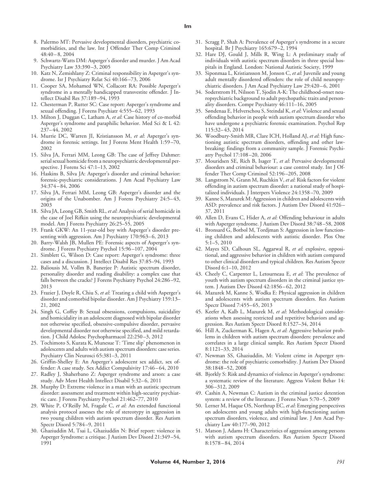- 8. Palermo MT: Pervasive developmental disorders, psychiatric comorbidities, and the law. Int J Offender Ther Comp Criminol  $48:40 - 8, 2004$
- 9. Schwartz-Watts DM: Asperger's disorder and murder. J Am Acad Psychiatry Law 33:390 –3, 2005
- 10. Katz N, Zemishlany Z: Criminal responsibility in Asperger's syndrome. Isr J Psychiatry Relat Sci 40:166 –73, 2006
- 11. Cooper SA, Mohamed WN, Collacott RA: Possible Asperger's syndrome in a mentally handicapped transvestite offender. J Intellect Disabil Res 37:189 –94, 1993
- 12. Chesterman P, Rutter SC: Case report: Asperger's syndrome and sexual offending. J Forens Psychiatr 4:555– 62, 1993
- 13. Milton J, Duggan C, Latham A, *et al*: Case history of co-morbid Asperger's syndrome and paraphilic behavior. Med Sci & L 42: 237– 44, 2002
- 14. Murrie DC, Warren JI, Kristiansson M, *et al*: Asperger's syndrome in forensic settings. Int J Forens Ment Health 1:59 –70, 2002
- 15. Silva JA, Ferrari MM, Leong GB: The case of Jeffrey Dahmer: serial sexual homicide from a neuropsychiatric developmental perspective. J Forens Sci 47:1–13, 2002
- 16. Haskins B, Silva JA: Asperger's disorder and criminal behavior: forensic-psychiatric considerations. J Am Acad Psychiatry Law 34:374 – 84, 2006
- 17. Silva JA, Ferrari MM, Leong GB: Asperger's disorder and the origins of the Unabomber. Am J Forens Psychiatry 24:5-43, 2003
- 18. Silva JA, Leong GB, Smith RL, *et al*: Analysis of serial homicide in the case of Joel Rifkin using the neuropsychiatric developmental model. Am J Forens Psychiatry 26:25–55, 2005
- 19. Frank GKW: An 11-year-old boy with Asperger's disorder presenting with aggression. Am J Psychiatry 170:963-6, 2013
- 20. Barry-Walsh JB, Mullen PE: Forensic aspects of Asperger's syndrome. J Forens Psychiatry Psychol 15:96 –107, 2004
- 21. Simblett G, Wilson D: Case report: Asperger's syndrome: three cases and a discussion. J Intellect Disabil Res 37:85–94, 1993
- 22. Baliousis M, Vollm B, Banerjee P: Autistic spectrum disorder, personality disorder and reading disability: a complex case that falls between the cracks? J Forens Psychiatry Psychol 24:286 –92, 2013
- 23. Frazier J, Doyle R, Chiu S, *et al*: Treating a child with Asperger's disorder and comorbid bipolar disorder. Am J Psychiatry 159:13– 21, 2002
- 24. Singh G, Coffey B: Sexual obsessions, compulsions, suicidality and homicidality in an adolescent diagnosed with bipolar disorder not otherwise specified, obsessive-compulsive disorder, pervasive developmental disorder not otherwise specified, and mild retardation. J Child Adolesc Psychopharmacol 22:250 –3, 2012
- 25. Tochimoto S, Kurata K, Munesue T: 'Time slip' phenomenon in adolescents and adults with autism spectrum disorders: case series. Psychiatry Clin Neurosci 65:381–3, 2011
- 26. Griffin-Shelley E: An Asperger's adolescent sex addict, sex offender: A case study. Sex Addict Compulsivity 17:46-64, 2010
- 27. Radley J, Shaherbano Z: Asperger syndrome and arson: a case study. Adv Ment Health Intellect Disabil 5:32-6, 2011
- 28. Murphy D: Extreme violence in a man with an autistic spectrum disorder: assessment and treatment within high-security psychiatric care. J Forens Psychiatry Psychol 21:462–77, 2010
- 29. White P, O'Reilly M, Fragale C, *et al*: An extended functional analysis protocol assesses the role of stereotypy in aggression in two young children with autism spectrum disorder. Res Autism Spectr Disord 5:784 –9, 2011
- 30. Ghaziuddin M, Tsai L, Ghaziuddin N: Brief report: violence in Asperger Syndrome: a critique. J Autism Dev Disord 21:349 –54, 1991
- 31. Scragg P, Shah A: Prevalence of Asperger's syndrome in a secure hospital. Br J Psychiatry 165:679 –2, 1994
- 32. Hare DJ, Gould J, Mills R, Wing L: A preliminary study of individuals with autistic spectrum disorders in three special hospitals in England. London: National Autistic Society, 1999
- 33. Siponmaa L, Kristiansson M, Jonson C, *et al*: Juvenile and young adult mentally disordered offenders: the role of child neuropsychiatric disorders. J Am Acad Psychiatry Law 29:420-6, 2001
- 34. Soderstrom H, Nilsson T, Sjodin A-K: The childhood-onset neuropsychiatric background to adult psychopathic traits and personality disorders. Compr Psychiatry 46:111–16, 2005
- 35. Søndenaa E, Helverschou S, Steindal K, *et al*: Violence and sexual offending behavior in people with autism spectrum disorder who have undergone a psychiatric forensic examination. Psychol Rep 115:32– 43, 2014
- 36. Woodbury-Smith MR, Clare ICH, Holland AJ, *et al*: High functioning autistic spectrum disorders, offending and other lawbreaking: findings from a community sample. J Forensic Psychiatry Psychol 17:108 –20, 2006
- 37. Mouridsen SE, Rich B, Isager T, *et al*: Pervasive developmental disorders and criminal behaviour: a case control study. Int J Offender Ther Comp Criminol 52:196 –205, 2008
- 38. Langstrom N, Grann M, Ruchkin V, *et al*: Risk factors for violent offending in autism spectrum disorder: a national study of hospitalized individuals. J Interpers Violence 24:1358 –70, 2009
- 39. Kanne S, Mazurek M: Aggression in children and adolescents with ASD: prevalence and risk factors. J Autism Dev Disord 41:926 – 37, 2011
- 40. Allen D, Evans C, Hider A, *et al*: Offending behaviour in adults with Asperger syndrome. J Autism Dev Disord 38:748 –58, 2008
- 41. Bronsard G, Botbol M, Tordjman S: Aggression in low functioning children and adolescents with autistic disorder. Plos One 5:1–5, 2010
- 42. Mayes SD, Calhoun SL, Aggarwal R, *et al*: explosive, oppositional, and aggressive behavior in children with autism compared to other clinical disorders and typical children. Res Autism Spectr Disord 6:1–10, 2012
- 43. Cheely C, Carpenter L, Letourneau E, *et al*: The prevalence of youth with autism spectrum disorders in the criminal justice system. J Autism Dev Disord 42:1856 – 62, 2012
- 44. Mazurek M, Kanne S, Wodka E: Physical aggression in children and adolescents with autism spectrum disorders. Res Autism Spectr Disord 7:455– 65, 2013
- 45. Keefer A, Kalb L, Mazurek M, *et al*: Methodological considerations when assessing restricted and repetitive behaviors and aggression. Res Autism Spectr Disord 8:1527–34, 2014
- 46. Hill A, Zuckerman K, Hagen A, *et al*: Aggressive behavior problems in children with autism spectrum disorders: prevalence and correlates in a large clinical sample. Res Autism Spectr Disord 8:1121–33, 2014
- 47. Newman SS, Ghaziuddin, M: Violent crime in Asperger syndrome: the role of psychiatric comorbidity. J Autism Dev Disord 38:1848 –52, 2008
- 48. Bjorkly S: Risk and dynamics of violence in Asperger's syndrome: a systematic review of the literature. Aggress Violent Behav 14: 306 –312, 2009
- 49. Cashin A, Newman C: Autism in the criminal justice detention system: a review of the literature. J Forens Nurs 5:70 –5, 2009
- 50. Lerner M, Haque OS, Northrup EC, *et al*: Emerging perspectives on adolescents and young adults with high-functioning autism spectrum disorders, violence, and criminal law. J Am Acad Psychiatry Law 40:177–90, 2012
- 51. Matson J, Adams H: Characteristics of aggression among persons with autism spectrum disorders. Res Autism Spectr Disord 8:1578 – 84, 2014